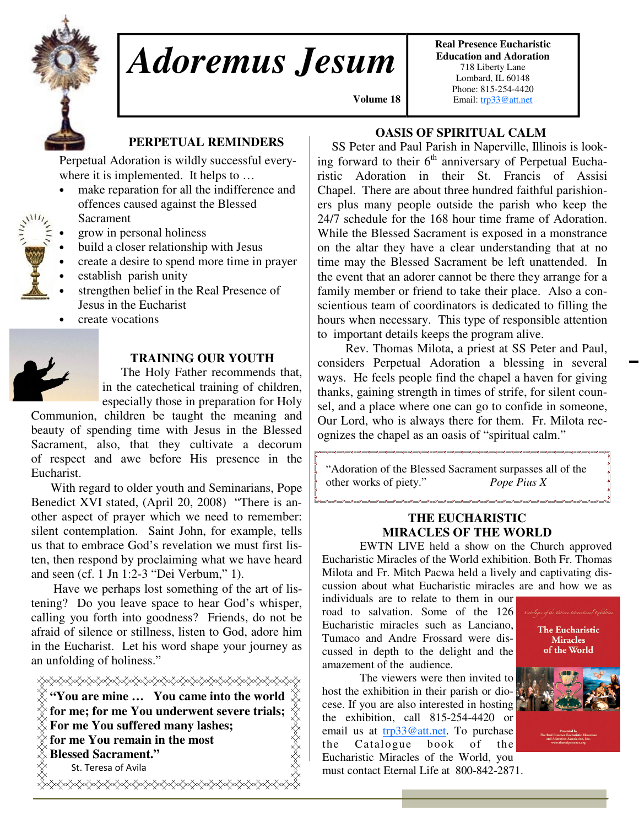

# *Adoremus Jesum*

**Real Presence Eucharistic Education and Adoration**  718 Liberty Lane Lombard, IL 60148 Phone: 815-254-4420 Email: trp33@att.net

## **PERPETUAL REMINDERS**

Perpetual Adoration is wildly successful everywhere it is implemented. It helps to ...

- make reparation for all the indifference and offences caused against the Blessed Sacrament
- grow in personal holiness
- build a closer relationship with Jesus
- create a desire to spend more time in prayer
- establish parish unity
- strengthen belief in the Real Presence of Jesus in the Eucharist
- create vocations



#### **TRAINING OUR YOUTH**

 The Holy Father recommends that, in the catechetical training of children, especially those in preparation for Holy

Communion, children be taught the meaning and beauty of spending time with Jesus in the Blessed Sacrament, also, that they cultivate a decorum of respect and awe before His presence in the Eucharist.

 With regard to older youth and Seminarians, Pope Benedict XVI stated, (April 20, 2008) "There is another aspect of prayer which we need to remember: silent contemplation. Saint John, for example, tells us that to embrace God's revelation we must first listen, then respond by proclaiming what we have heard and seen (cf. 1 Jn 1:2-3 "Dei Verbum," 1).

 Have we perhaps lost something of the art of listening? Do you leave space to hear God's whisper, calling you forth into goodness? Friends, do not be afraid of silence or stillness, listen to God, adore him in the Eucharist. Let his word shape your journey as an unfolding of holiness."

**"You are mine … You came into the world for me; for me You underwent severe trials; For me You suffered many lashes; for me You remain in the most Blessed Sacrament."**  St. Teresa of Avila </del>

## **OASIS OF SPIRITUAL CALM**

 **Volume 18,**

 SS Peter and Paul Parish in Naperville, Illinois is looking forward to their  $6<sup>th</sup>$  anniversary of Perpetual Eucharistic Adoration in their St. Francis of Assisi Chapel. There are about three hundred faithful parishioners plus many people outside the parish who keep the 24/7 schedule for the 168 hour time frame of Adoration. While the Blessed Sacrament is exposed in a monstrance on the altar they have a clear understanding that at no time may the Blessed Sacrament be left unattended. In the event that an adorer cannot be there they arrange for a family member or friend to take their place. Also a conscientious team of coordinators is dedicated to filling the hours when necessary. This type of responsible attention to important details keeps the program alive.

 Rev. Thomas Milota, a priest at SS Peter and Paul, considers Perpetual Adoration a blessing in several ways. He feels people find the chapel a haven for giving thanks, gaining strength in times of strife, for silent counsel, and a place where one can go to confide in someone, Our Lord, who is always there for them. Fr. Milota recognizes the chapel as an oasis of "spiritual calm."

"Adoration of the Blessed Sacrament surpasses all of the other works of piety." *Pope Pius X* 

#### **THE EUCHARISTIC MIRACLES OF THE WORLD**

.<br>مراجع المراجع المراجع المراجع

 EWTN LIVE held a show on the Church approved Eucharistic Miracles of the World exhibition. Both Fr. Thomas Milota and Fr. Mitch Pacwa held a lively and captivating discussion about what Eucharistic miracles are and how we as

individuals are to relate to them in our road to salvation. Some of the 126 Eucharistic miracles such as Lanciano, Tumaco and Andre Frossard were discussed in depth to the delight and the amazement of the audience.

 The viewers were then invited to host the exhibition in their parish or diocese. If you are also interested in hosting the exhibition, call 815-254-4420 or email us at trp33@att.net. To purchase the Catalogue book of the Eucharistic Miracles of the World, you must contact Eternal Life at 800-842-2871.